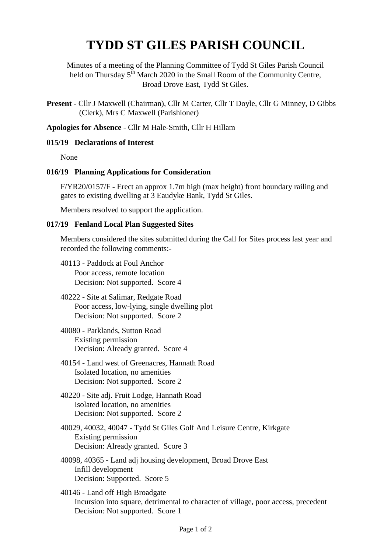## **TYDD ST GILES PARISH COUNCIL**

Minutes of a meeting of the Planning Committee of Tydd St Giles Parish Council held on Thursday 5<sup>th</sup> March 2020 in the Small Room of the Community Centre, Broad Drove East, Tydd St Giles.

**Present** - Cllr J Maxwell (Chairman), Cllr M Carter, Cllr T Doyle, Cllr G Minney, D Gibbs (Clerk), Mrs C Maxwell (Parishioner)

**Apologies for Absence** - Cllr M Hale-Smith, Cllr H Hillam

## **015/19 Declarations of Interest**

None

## **016/19 Planning Applications for Consideration**

F/YR20/0157/F - Erect an approx 1.7m high (max height) front boundary railing and gates to existing dwelling at 3 Eaudyke Bank, Tydd St Giles.

Members resolved to support the application.

## **017/19 Fenland Local Plan Suggested Sites**

Members considered the sites submitted during the Call for Sites process last year and recorded the following comments:-

- 40113 Paddock at Foul Anchor Poor access, remote location Decision: Not supported. Score 4
- 40222 Site at Salimar, Redgate Road Poor access, low-lying, single dwelling plot Decision: Not supported. Score 2
- 40080 Parklands, Sutton Road Existing permission Decision: Already granted. Score 4
- 40154 Land west of Greenacres, Hannath Road Isolated location, no amenities Decision: Not supported. Score 2
- 40220 Site adj. Fruit Lodge, Hannath Road Isolated location, no amenities Decision: Not supported. Score 2
- 40029, 40032, 40047 Tydd St Giles Golf And Leisure Centre, Kirkgate Existing permission Decision: Already granted. Score 3
- 40098, 40365 Land adj housing development, Broad Drove East Infill development Decision: Supported. Score 5
- 40146 Land off High Broadgate Incursion into square, detrimental to character of village, poor access, precedent Decision: Not supported. Score 1